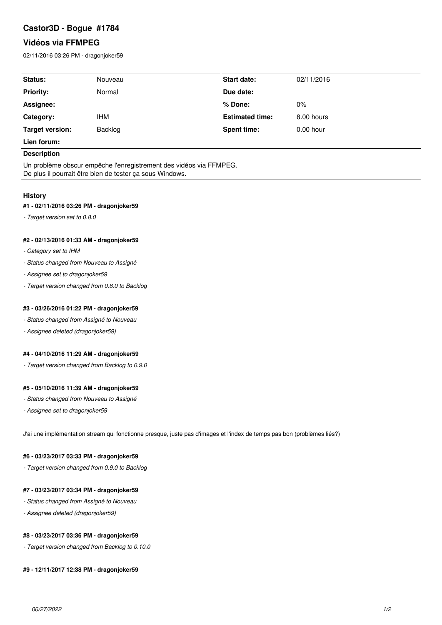# **Castor3D - Bogue #1784**

## **Vidéos via FFMPEG**

02/11/2016 03:26 PM - dragonjoker59

| Status:                                                                                                                        | Nouveau | <b>Start date:</b>     | 02/11/2016  |
|--------------------------------------------------------------------------------------------------------------------------------|---------|------------------------|-------------|
| <b>Priority:</b>                                                                                                               | Normal  | Due date:              |             |
| Assignee:                                                                                                                      |         | ∣% Done:               | $0\%$       |
| <b>Category:</b>                                                                                                               | IHM     | <b>Estimated time:</b> | 8.00 hours  |
| Target version:                                                                                                                | Backlog | <b>Spent time:</b>     | $0.00$ hour |
| Lien forum:                                                                                                                    |         |                        |             |
| <b>Description</b>                                                                                                             |         |                        |             |
| Un problème obscur empêche l'enregistrement des vidéos via FFMPEG.<br>De plus il pourrait être bien de tester ça sous Windows. |         |                        |             |

#### **History**

#### **#1 - 02/11/2016 03:26 PM - dragonjoker59**

*- Target version set to 0.8.0*

### **#2 - 02/13/2016 01:33 AM - dragonjoker59**

- *Category set to IHM*
- *Status changed from Nouveau to Assigné*
- *Assignee set to dragonjoker59*
- *Target version changed from 0.8.0 to Backlog*

### **#3 - 03/26/2016 01:22 PM - dragonjoker59**

- *Status changed from Assigné to Nouveau*
- *Assignee deleted (dragonjoker59)*

#### **#4 - 04/10/2016 11:29 AM - dragonjoker59**

*- Target version changed from Backlog to 0.9.0*

## **#5 - 05/10/2016 11:39 AM - dragonjoker59**

- *Status changed from Nouveau to Assigné*
- *Assignee set to dragonjoker59*

J'ai une implémentation stream qui fonctionne presque, juste pas d'images et l'index de temps pas bon (problèmes liés?)

#### **#6 - 03/23/2017 03:33 PM - dragonjoker59**

*- Target version changed from 0.9.0 to Backlog*

#### **#7 - 03/23/2017 03:34 PM - dragonjoker59**

- *Status changed from Assigné to Nouveau*
- *Assignee deleted (dragonjoker59)*

#### **#8 - 03/23/2017 03:36 PM - dragonjoker59**

*- Target version changed from Backlog to 0.10.0*

### **#9 - 12/11/2017 12:38 PM - dragonjoker59**